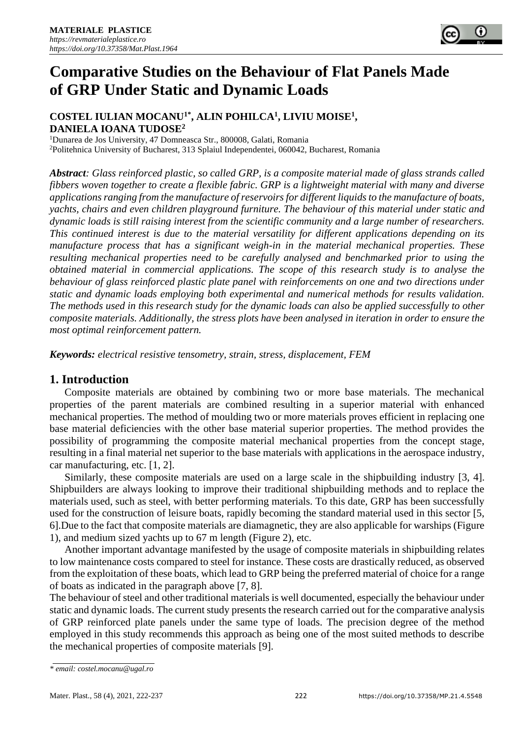# **Comparative Studies on the Behaviour of Flat Panels Made of GRP Under Static and Dynamic Loads**

## **COSTEL IULIAN MOCANU1\*, ALIN POHILCA<sup>1</sup> , LIVIU MOISE<sup>1</sup> , DANIELA IOANA TUDOSE<sup>2</sup>**

<sup>1</sup>Dunarea de Jos University, 47 Domneasca Str., 800008, Galati, Romania <sup>2</sup>Politehnica University of Bucharest, 313 Splaiul Independentei, 060042, Bucharest, Romania

*Abstract: Glass reinforced plastic, so called GRP, is a composite material made of glass strands called fibbers woven together to create a flexible fabric. GRP is a lightweight material with many and diverse applications ranging from the manufacture of reservoirs for different liquids to the manufacture of boats, yachts, chairs and even children playground furniture. The behaviour of this material under static and dynamic loads is still raising interest from the scientific community and a large number of researchers. This continued interest is due to the material versatility for different applications depending on its manufacture process that has a significant weigh-in in the material mechanical properties. These resulting mechanical properties need to be carefully analysed and benchmarked prior to using the obtained material in commercial applications. The scope of this research study is to analyse the behaviour of glass reinforced plastic plate panel with reinforcements on one and two directions under static and dynamic loads employing both experimental and numerical methods for results validation. The methods used in this research study for the dynamic loads can also be applied successfully to other composite materials. Additionally, the stress plots have been analysed in iteration in order to ensure the most optimal reinforcement pattern.*

*Keywords: electrical resistive tensometry, strain, stress, displacement, FEM*

# **1. Introduction**

Composite materials are obtained by combining two or more base materials. The mechanical properties of the parent materials are combined resulting in a superior material with enhanced mechanical properties. The method of moulding two or more materials proves efficient in replacing one base material deficiencies with the other base material superior properties. The method provides the possibility of programming the composite material mechanical properties from the concept stage, resulting in a final material net superior to the base materials with applications in the aerospace industry, car manufacturing, etc. [1, 2].

Similarly, these composite materials are used on a large scale in the shipbuilding industry [3, 4]. Shipbuilders are always looking to improve their traditional shipbuilding methods and to replace the materials used, such as steel, with better performing materials. To this date, GRP has been successfully used for the construction of leisure boats, rapidly becoming the standard material used in this sector [5, 6].Due to the fact that composite materials are diamagnetic, they are also applicable for warships (Figure 1), and medium sized yachts up to 67 m length (Figure 2), etc.

Another important advantage manifested by the usage of composite materials in shipbuilding relates to low maintenance costs compared to steel for instance. These costs are drastically reduced, as observed from the exploitation of these boats, which lead to GRP being the preferred material of choice for a range of boats as indicated in the paragraph above [7, 8].

The behaviour of steel and other traditional materials is well documented, especially the behaviour under static and dynamic loads. The current study presents the research carried out for the comparative analysis of GRP reinforced plate panels under the same type of loads. The precision degree of the method employed in this study recommends this approach as being one of the most suited methods to describe the mechanical properties of composite materials [9].

 $\overline{a}$ 

*<sup>\*</sup> email: costel.mocanu@ugal.ro*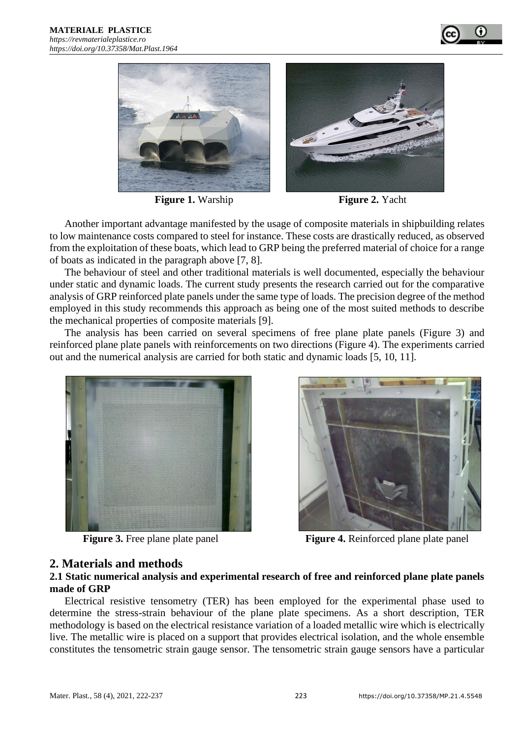



**Figure 1.** Warship **Figure 2.** Yacht

Another important advantage manifested by the usage of composite materials in shipbuilding relates to low maintenance costs compared to steel for instance. These costs are drastically reduced, as observed from the exploitation of these boats, which lead to GRP being the preferred material of choice for a range of boats as indicated in the paragraph above [7, 8].

The behaviour of steel and other traditional materials is well documented, especially the behaviour under static and dynamic loads. The current study presents the research carried out for the comparative analysis of GRP reinforced plate panels under the same type of loads. The precision degree of the method employed in this study recommends this approach as being one of the most suited methods to describe the mechanical properties of composite materials [9].

The analysis has been carried on several specimens of free plane plate panels (Figure 3) and reinforced plane plate panels with reinforcements on two directions (Figure 4). The experiments carried out and the numerical analysis are carried for both static and dynamic loads [5, 10, 11].





**Figure 3.** Free plane plate panel **Figure 4.** Reinforced plane plate panel

# **2. Materials and methods**

#### **2.1 Static numerical analysis and experimental research of free and reinforced plane plate panels made of GRP**

Electrical resistive tensometry (TER) has been employed for the experimental phase used to determine the stress-strain behaviour of the plane plate specimens. As a short description, TER methodology is based on the electrical resistance variation of a loaded metallic wire which is electrically live. The metallic wire is placed on a support that provides electrical isolation, and the whole ensemble constitutes the tensometric strain gauge sensor. The tensometric strain gauge sensors have a particular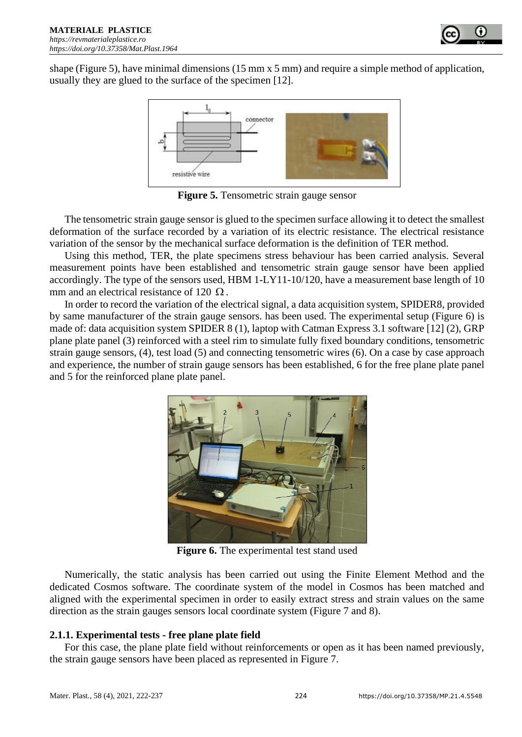

shape (Figure 5), have minimal dimensions (15 mm x 5 mm) and require a simple method of application, usually they are glued to the surface of the specimen [12].



**Figure 5.** Tensometric strain gauge sensor

The tensometric strain gauge sensor is glued to the specimen surface allowing it to detect the smallest deformation of the surface recorded by a variation of its electric resistance. The electrical resistance variation of the sensor by the mechanical surface deformation is the definition of TER method.

Using this method, TER, the plate specimens stress behaviour has been carried analysis. Several measurement points have been established and tensometric strain gauge sensor have been applied accordingly. The type of the sensors used, HBM 1-LY11-10/120, have a measurement base length of 10 mm and an electrical resistance of 120  $\Omega$ .

In order to record the variation of the electrical signal, a data acquisition system, SPIDER8, provided by same manufacturer of the strain gauge sensors. has been used. The experimental setup (Figure 6) is made of: data acquisition system SPIDER 8 (1), laptop with Catman Express 3.1 software [12] (2), GRP plane plate panel (3) reinforced with a steel rim to simulate fully fixed boundary conditions, tensometric strain gauge sensors, (4), test load (5) and connecting tensometric wires (6). On a case by case approach and experience, the number of strain gauge sensors has been established, 6 for the free plane plate panel and 5 for the reinforced plane plate panel.



**Figure 6.** The experimental test stand used

Numerically, the static analysis has been carried out using the Finite Element Method and the dedicated Cosmos software. The coordinate system of the model in Cosmos has been matched and aligned with the experimental specimen in order to easily extract stress and strain values on the same direction as the strain gauges sensors local coordinate system (Figure 7 and 8).

### **2.1.1. Experimental tests - free plane plate field**

For this case, the plane plate field without reinforcements or open as it has been named previously, the strain gauge sensors have been placed as represented in Figure 7.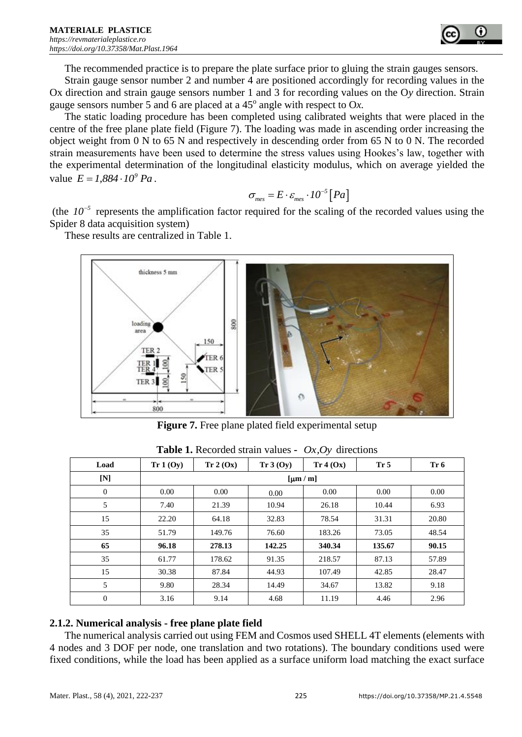

The recommended practice is to prepare the plate surface prior to gluing the strain gauges sensors.

Strain gauge sensor number 2 and number 4 are positioned accordingly for recording values in the Ox direction and strain gauge sensors number 1 and 3 for recording values on the O*y* direction. Strain gauge sensors number 5 and 6 are placed at a  $45^{\circ}$  angle with respect to Ox.

The static loading procedure has been completed using calibrated weights that were placed in the centre of the free plane plate field (Figure 7). The loading was made in ascending order increasing the object weight from 0 N to 65 N and respectively in descending order from 65 N to 0 N. The recorded strain measurements have been used to determine the stress values using Hookes's law, together with the experimental determination of the longitudinal elasticity modulus, which on average yielded the value  $E = 1,884 \cdot 10^9$  *Pa*.

$$
\sigma_{\text{mes}} = E \cdot \varepsilon_{\text{mes}} \cdot 10^{-5} [Pa]
$$

(the  $10^{-5}$  represents the amplification factor required for the scaling of the recorded values using the Spider 8 data acquisition system)

These results are centralized in Table 1.



**Figure 7.** Free plane plated field experimental setup

| Load             | Tr 1 (Oy) | Tr 2 (Ox) | Tr 3 (Oy) | Tr 4 (Ox)   | Tr 5   | Tr 6  |
|------------------|-----------|-----------|-----------|-------------|--------|-------|
| $[N]$            |           |           |           | $[\mu m/m]$ |        |       |
| $\mathbf{0}$     | 0.00      | 0.00      | 0.00      | 0.00        | 0.00   | 0.00  |
| 5                | 7.40      | 21.39     | 10.94     | 26.18       | 10.44  | 6.93  |
| 15               | 22.20     | 64.18     | 32.83     | 78.54       | 31.31  | 20.80 |
| 35               | 51.79     | 149.76    | 76.60     | 183.26      | 73.05  | 48.54 |
| 65               | 96.18     | 278.13    | 142.25    | 340.34      | 135.67 | 90.15 |
| 35               | 61.77     | 178.62    | 91.35     | 218.57      | 87.13  | 57.89 |
| 15               | 30.38     | 87.84     | 44.93     | 107.49      | 42.85  | 28.47 |
| 5                | 9.80      | 28.34     | 14.49     | 34.67       | 13.82  | 9.18  |
| $\boldsymbol{0}$ | 3.16      | 9.14      | 4.68      | 11.19       | 4.46   | 2.96  |

**Table 1.** Recorded strain values **-** *Ox,Oy* directions

#### **2.1.2. Numerical analysis - free plane plate field**

The numerical analysis carried out using FEM and Cosmos used SHELL 4T elements (elements with 4 nodes and 3 DOF per node, one translation and two rotations). The boundary conditions used were fixed conditions, while the load has been applied as a surface uniform load matching the exact surface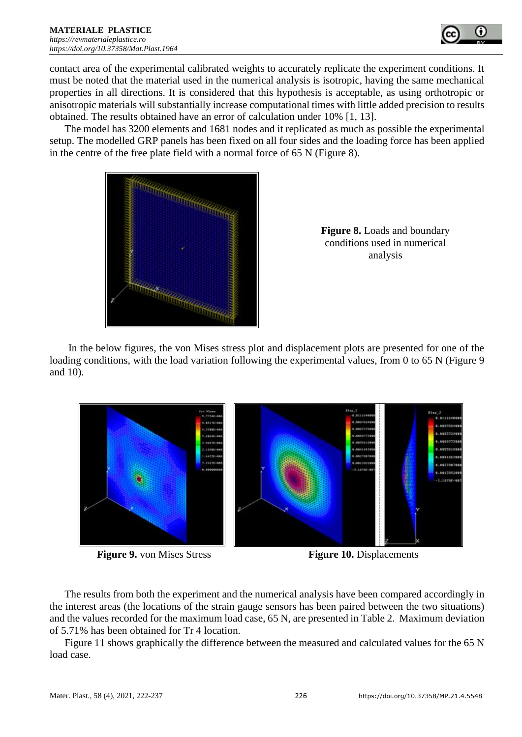

contact area of the experimental calibrated weights to accurately replicate the experiment conditions. It must be noted that the material used in the numerical analysis is isotropic, having the same mechanical properties in all directions. It is considered that this hypothesis is acceptable, as using orthotropic or anisotropic materials will substantially increase computational times with little added precision to results obtained. The results obtained have an error of calculation under 10% [1, 13].

The model has 3200 elements and 1681 nodes and it replicated as much as possible the experimental setup. The modelled GRP panels has been fixed on all four sides and the loading force has been applied in the centre of the free plate field with a normal force of 65 N (Figure 8).



**Figure 8.** Loads and boundary conditions used in numerical analysis

In the below figures, the von Mises stress plot and displacement plots are presented for one of the loading conditions, with the load variation following the experimental values, from 0 to 65 N (Figure 9) and 10).





The results from both the experiment and the numerical analysis have been compared accordingly in the interest areas (the locations of the strain gauge sensors has been paired between the two situations) and the values recorded for the maximum load case, 65 N, are presented in Table 2. Maximum deviation of 5.71% has been obtained for Tr 4 location.

Figure 11 shows graphically the difference between the measured and calculated values for the 65 N load case.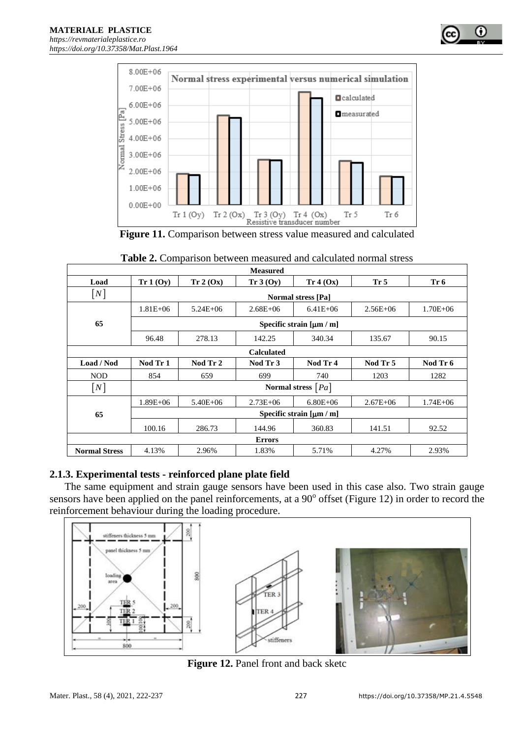

| <b>Measured</b>      |                             |                           |                   |                             |                 |              |  |
|----------------------|-----------------------------|---------------------------|-------------------|-----------------------------|-----------------|--------------|--|
| Load                 | Tr 1 (Oy)                   | Tr 2 (Ox)                 | Tr 3 (Oy)         | Tr 4 (Ox)                   | Tr <sub>5</sub> | Tr 6         |  |
| [N]                  |                             | <b>Normal stress [Pa]</b> |                   |                             |                 |              |  |
|                      | $1.81E + 06$                | $5.24E + 06$              | $2.68E + 06$      | $6.41E + 06$                | $2.56E + 06$    | $1.70E + 06$ |  |
| 65                   |                             |                           |                   | Specific strain $[\mu m/m]$ |                 |              |  |
|                      | 96.48                       | 278.13                    | 142.25            | 340.34                      | 135.67          | 90.15        |  |
|                      |                             |                           | <b>Calculated</b> |                             |                 |              |  |
| Load / Nod           | Nod Tr 1                    | Nod Tr 2                  | Nod Tr 3          | Nod Tr 4                    | Nod Tr 5        | Nod Tr 6     |  |
| <b>NOD</b>           | 854                         | 659                       | 699               | 740                         | 1203            | 1282         |  |
| [N]                  |                             |                           |                   | Normal stress $[Pa]$        |                 |              |  |
|                      | $1.89E + 06$                | $5.40E + 06$              | $2.73E + 06$      | $6.80E + 06$                | $2.67E + 06$    | $1.74E + 06$ |  |
| 65                   | Specific strain $[\mu m/m]$ |                           |                   |                             |                 |              |  |
|                      | 100.16                      | 286.73                    | 144.96            | 360.83                      | 141.51          | 92.52        |  |
|                      |                             |                           | <b>Errors</b>     |                             |                 |              |  |
| <b>Normal Stress</b> | 4.13%                       | 2.96%                     | 1.83%             | 5.71%                       | 4.27%           | 2.93%        |  |

| <b>Table 2.</b> Comparison between measured and calculated normal stress |  |  |  |  |  |  |
|--------------------------------------------------------------------------|--|--|--|--|--|--|
|--------------------------------------------------------------------------|--|--|--|--|--|--|

# **2.1.3. Experimental tests - reinforced plane plate field**

The same equipment and strain gauge sensors have been used in this case also. Two strain gauge sensors have been applied on the panel reinforcements, at a 90° offset (Figure 12) in order to record the reinforcement behaviour during the loading procedure.



Figure 12. Panel front and back sketc

o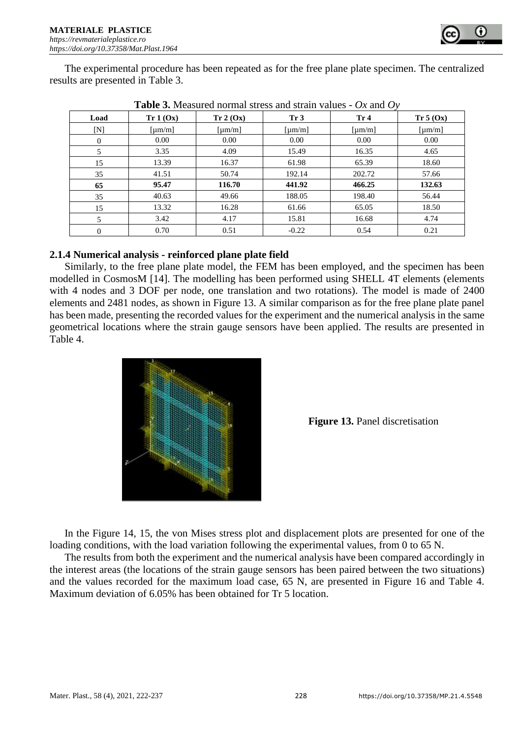

The experimental procedure has been repeated as for the free plane plate specimen. The centralized results are presented in Table 3.

|                | Table 9. measured hormal suess and strain values<br>$\sigma$ and $\sigma$ |                         |                 |        |                                |  |  |  |
|----------------|---------------------------------------------------------------------------|-------------------------|-----------------|--------|--------------------------------|--|--|--|
| Load           | Tr 1 (Ox)                                                                 | Tr 2 (Ox)               | Tr <sub>3</sub> | Tr 4   | Tr 5 (Ox)                      |  |  |  |
| [N]            | $\lceil \mu m/m \rceil$                                                   | $\lceil \mu m/m \rceil$ | [µm/m]          | [µm/m] | $\lceil \mu \text{m/m} \rceil$ |  |  |  |
| $\overline{0}$ | 0.00                                                                      | 0.00                    | 0.00            | 0.00   | 0.00                           |  |  |  |
| 5              | 3.35                                                                      | 4.09                    | 15.49           | 16.35  | 4.65                           |  |  |  |
| 15             | 13.39                                                                     | 16.37                   | 61.98           | 65.39  | 18.60                          |  |  |  |
| 35             | 41.51                                                                     | 50.74                   | 192.14          | 202.72 | 57.66                          |  |  |  |
| 65             | 95.47                                                                     | 116.70                  | 441.92          | 466.25 | 132.63                         |  |  |  |
| 35             | 40.63                                                                     | 49.66                   | 188.05          | 198.40 | 56.44                          |  |  |  |
| 15             | 13.32                                                                     | 16.28                   | 61.66           | 65.05  | 18.50                          |  |  |  |
| 5              | 3.42                                                                      | 4.17                    | 15.81           | 16.68  | 4.74                           |  |  |  |
| $\overline{0}$ | 0.70                                                                      | 0.51                    | $-0.22$         | 0.54   | 0.21                           |  |  |  |

| <b>Table 3.</b> Measured normal stress and strain values - $Ox$ and $Oy$ |  |
|--------------------------------------------------------------------------|--|
|--------------------------------------------------------------------------|--|

#### **2.1.4 Numerical analysis - reinforced plane plate field**

Similarly, to the free plane plate model, the FEM has been employed, and the specimen has been modelled in CosmosM [14]. The modelling has been performed using SHELL 4T elements (elements with 4 nodes and 3 DOF per node, one translation and two rotations). The model is made of 2400 elements and 2481 nodes, as shown in Figure 13. A similar comparison as for the free plane plate panel has been made, presenting the recorded values for the experiment and the numerical analysis in the same geometrical locations where the strain gauge sensors have been applied. The results are presented in Table 4.



**Figure 13.** Panel discretisation

In the Figure 14, 15, the von Mises stress plot and displacement plots are presented for one of the loading conditions, with the load variation following the experimental values, from 0 to 65 N.

The results from both the experiment and the numerical analysis have been compared accordingly in the interest areas (the locations of the strain gauge sensors has been paired between the two situations) and the values recorded for the maximum load case, 65 N, are presented in Figure 16 and Table 4. Maximum deviation of 6.05% has been obtained for Tr 5 location.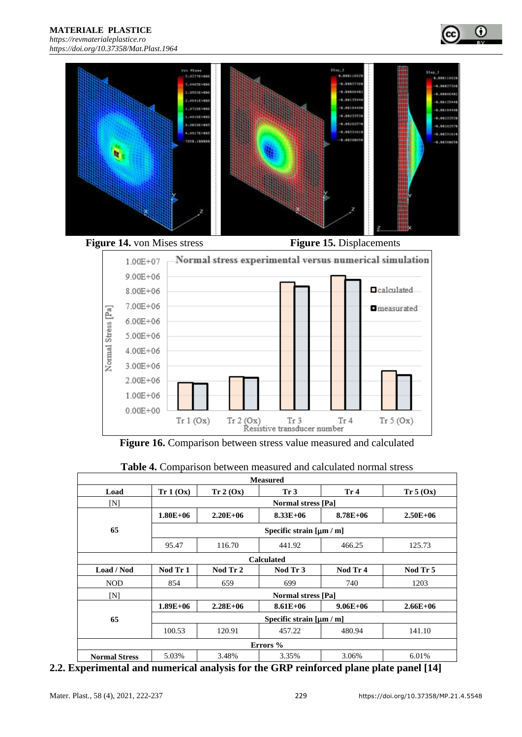**MATERIALE PLASTICE**  *[https://revmaterialeplastice.ro](https://revmaterialeplastice.ro/)*







Figure 16. Comparison between stress value measured and calculated

 $\begin{tabular}{ll} Tr $2 ($\text{Ox}$) & Tr $3$ & Tr\\ & Resistive transducer number \end{tabular}$ 

Tr 4

 $Tr 5 (Ox)$ 

|                      | <b>Measured</b> |              |                             |                 |              |  |  |
|----------------------|-----------------|--------------|-----------------------------|-----------------|--------------|--|--|
| Load                 | Tr 1 (Ox)       | Tr 2 (Ox)    | Tr <sub>3</sub>             | Tr <sub>4</sub> | Tr 5 (Ox)    |  |  |
| JΝ                   |                 |              | <b>Normal stress [Pa]</b>   |                 |              |  |  |
|                      | $1.80E + 06$    | $2.20E + 06$ | $8.33E+06$                  | $8.78E + 06$    | $2.50E + 06$ |  |  |
| 65                   |                 |              | Specific strain $[\mu m/m]$ |                 |              |  |  |
|                      | 95.47           | 116.70       | 441.92                      | 466.25          | 125.73       |  |  |
|                      |                 |              | <b>Calculated</b>           |                 |              |  |  |
| Load / Nod           | Nod Tr 1        | Nod Tr 2     | Nod Tr 3                    | Nod Tr 4        | Nod Tr 5     |  |  |
| <b>NOD</b>           | 854             | 659          | 699                         | 740             | 1203         |  |  |
| JΝ                   |                 |              | <b>Normal stress [Pa]</b>   |                 |              |  |  |
|                      | $1.89E + 06$    | $2.28E + 06$ | $8.61E + 06$                | $9.06E + 06$    | $2.66E + 06$ |  |  |
| 65                   |                 |              | Specific strain $[\mu m/m]$ |                 |              |  |  |
|                      | 100.53          | 120.91       | 457.22                      | 480.94          | 141.10       |  |  |
|                      |                 |              | Errors %                    |                 |              |  |  |
| <b>Normal Stress</b> | 5.03%           | 3.48%        | 3.35%                       | 3.06%           | 6.01%        |  |  |

**2.2. Experimental and numerical analysis for the GRP reinforced plane plate panel [14]**

1.00E+06  $0.00E + 00$ 

 $Tr 1 (Ox)$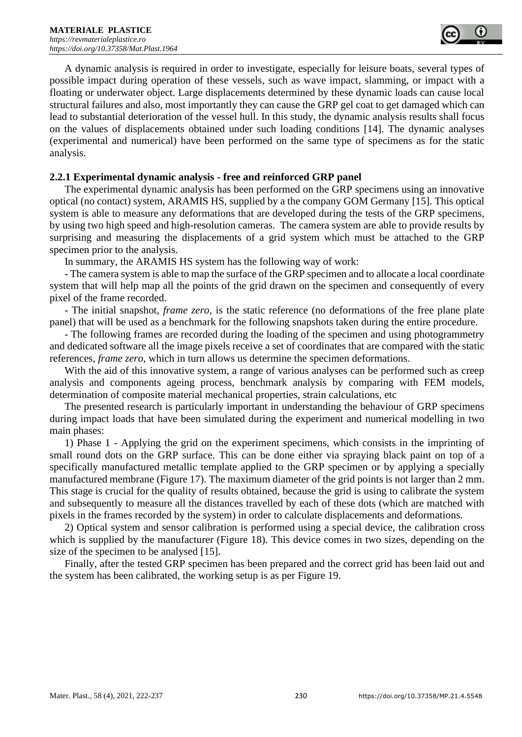

A dynamic analysis is required in order to investigate, especially for leisure boats, several types of possible impact during operation of these vessels, such as wave impact, slamming, or impact with a floating or underwater object. Large displacements determined by these dynamic loads can cause local structural failures and also, most importantly they can cause the GRP gel coat to get damaged which can lead to substantial deterioration of the vessel hull. In this study, the dynamic analysis results shall focus on the values of displacements obtained under such loading conditions [14]. The dynamic analyses (experimental and numerical) have been performed on the same type of specimens as for the static analysis.

#### **2.2.1 Experimental dynamic analysis - free and reinforced GRP panel**

The experimental dynamic analysis has been performed on the GRP specimens using an innovative optical (no contact) system, ARAMIS HS, supplied by a the company GOM Germany [15]. This optical system is able to measure any deformations that are developed during the tests of the GRP specimens, by using two high speed and high-resolution cameras. The camera system are able to provide results by surprising and measuring the displacements of a grid system which must be attached to the GRP specimen prior to the analysis.

In summary, the ARAMIS HS system has the following way of work:

- The camera system is able to map the surface of the GRP specimen and to allocate a local coordinate system that will help map all the points of the grid drawn on the specimen and consequently of every pixel of the frame recorded.

- The initial snapshot, *frame zero,* is the static reference (no deformations of the free plane plate panel) that will be used as a benchmark for the following snapshots taken during the entire procedure.

- The following frames are recorded during the loading of the specimen and using photogrammetry and dedicated software all the image pixels receive a set of coordinates that are compared with the static references, *frame zero*, which in turn allows us determine the specimen deformations.

With the aid of this innovative system, a range of various analyses can be performed such as creep analysis and components ageing process, benchmark analysis by comparing with FEM models, determination of composite material mechanical properties, strain calculations, etc

The presented research is particularly important in understanding the behaviour of GRP specimens during impact loads that have been simulated during the experiment and numerical modelling in two main phases:

1) Phase 1 - Applying the grid on the experiment specimens, which consists in the imprinting of small round dots on the GRP surface. This can be done either via spraying black paint on top of a specifically manufactured metallic template applied to the GRP specimen or by applying a specially manufactured membrane (Figure 17). The maximum diameter of the grid points is not larger than 2 mm. This stage is crucial for the quality of results obtained, because the grid is using to calibrate the system and subsequently to measure all the distances travelled by each of these dots (which are matched with pixels in the frames recorded by the system) in order to calculate displacements and deformations.

2) Optical system and sensor calibration is performed using a special device, the calibration cross which is supplied by the manufacturer (Figure 18). This device comes in two sizes, depending on the size of the specimen to be analysed [15].

Finally, after the tested GRP specimen has been prepared and the correct grid has been laid out and the system has been calibrated, the working setup is as per Figure 19.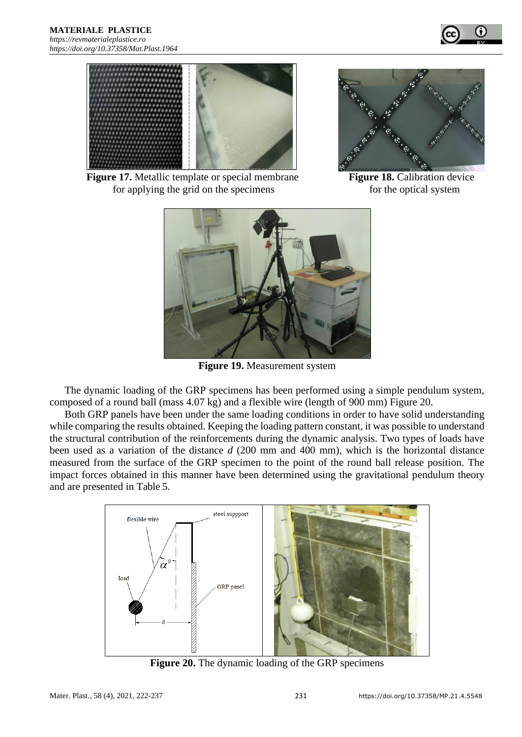



**Figure 17.** Metallic template or special membrane **Figure 18.** Calibration device for applying the grid on the specimens for the optical system





**Figure 19.** Measurement system

The dynamic loading of the GRP specimens has been performed using a simple pendulum system, composed of a round ball (mass 4.07 kg) and a flexible wire (length of 900 mm) Figure 20.

Both GRP panels have been under the same loading conditions in order to have solid understanding while comparing the results obtained. Keeping the loading pattern constant, it was possible to understand the structural contribution of the reinforcements during the dynamic analysis. Two types of loads have been used as a variation of the distance *d* (200 mm and 400 mm), which is the horizontal distance measured from the surface of the GRP specimen to the point of the round ball release position. The impact forces obtained in this manner have been determined using the gravitational pendulum theory and are presented in Table 5.



**Figure 20.** The dynamic loading of the GRP specimens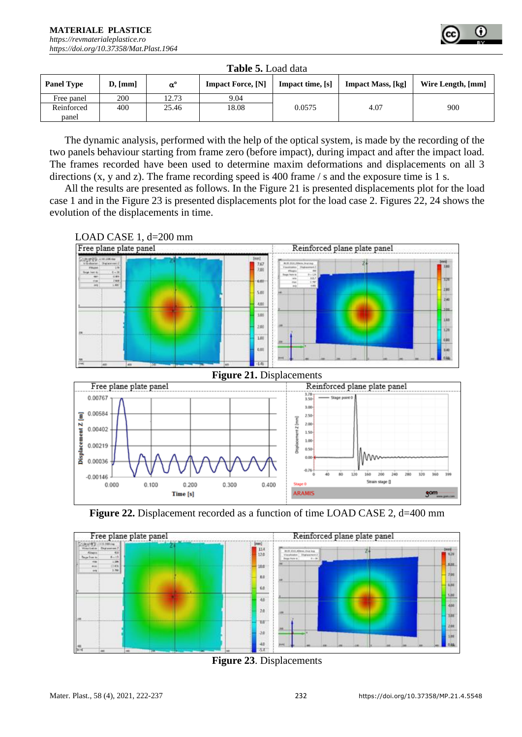

|                     | <b>Table 5.</b> Load data |                  |                          |                  |                          |                   |  |
|---------------------|---------------------------|------------------|--------------------------|------------------|--------------------------|-------------------|--|
| <b>Panel Type</b>   | D, [mm]                   | $\alpha^{\rm o}$ | <b>Impact Force, [N]</b> | Impact time, [s] | <b>Impact Mass, [kg]</b> | Wire Length, [mm] |  |
| Free panel          | 200                       | 12.73            | 9.04                     |                  |                          |                   |  |
| Reinforced<br>panel | 400                       | 25.46            | 18.08                    | 0.0575           | 4.07                     | 900               |  |

The dynamic analysis, performed with the help of the optical system, is made by the recording of the two panels behaviour starting from frame zero (before impact), during impact and after the impact load. The frames recorded have been used to determine maxim deformations and displacements on all 3 directions (x, y and z). The frame recording speed is 400 frame / s and the exposure time is 1 s.

All the results are presented as follows. In the Figure 21 is presented displacements plot for the load case 1 and in the Figure 23 is presented displacements plot for the load case 2. Figures 22, 24 shows the evolution of the displacements in time.









**Figure 23**. Displacements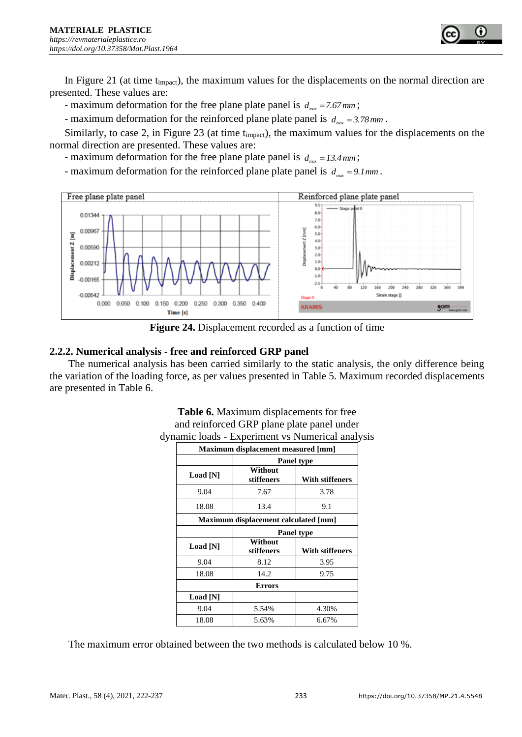

- maximum deformation for the free plane plate panel is  $d_{max} = 7.67 \, \text{mm}$ ;

- maximum deformation for the reinforced plane plate panel is  $d_{max} = 3.78 \text{ mm}$ .

Similarly, to case 2, in Figure 23 (at time timpact), the maximum values for the displacements on the normal direction are presented. These values are:

- maximum deformation for the free plane plate panel is  $d_{max} = 13.4 \, \text{mm}$ ;

- maximum deformation for the reinforced plane plate panel is  $d_{max} = 9.1 \, \text{mm}$ .



**Figure 24.** Displacement recorded as a function of time

#### **2.2.2. Numerical analysis - free and reinforced GRP panel**

The numerical analysis has been carried similarly to the static analysis, the only difference being the variation of the loading force, as per values presented in Table 5. Maximum recorded displacements are presented in Table 6.

|          | Maximum displacement measured [mm]   |                   |  |  |  |  |
|----------|--------------------------------------|-------------------|--|--|--|--|
|          | Panel type                           |                   |  |  |  |  |
| Load [N] | Without<br>stiffeners                | With stiffeners   |  |  |  |  |
| 9.04     | 7.67                                 | 3.78              |  |  |  |  |
| 18.08    | 13.4                                 | 9.1               |  |  |  |  |
|          | Maximum displacement calculated [mm] |                   |  |  |  |  |
|          |                                      | <b>Panel type</b> |  |  |  |  |
| Load [N] | Without<br>stiffeners                | With stiffeners   |  |  |  |  |
| 9.04     | 8.12                                 | 3.95              |  |  |  |  |
| 18.08    | 14.2                                 | 9.75              |  |  |  |  |
|          | <b>Errors</b>                        |                   |  |  |  |  |
| Load [N] |                                      |                   |  |  |  |  |
| 9.04     | 5.54%                                | 4.30%             |  |  |  |  |
| 18.08    | 5.63%                                | 6.67%             |  |  |  |  |

**Table 6.** Maximum displacements for free and reinforced GRP plane plate panel under dynamic loads - Experiment vs Numerical analysis

The maximum error obtained between the two methods is calculated below 10 %.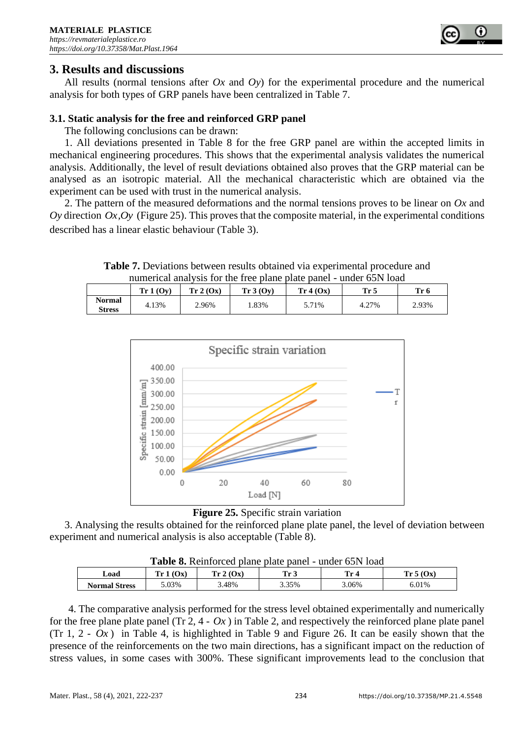

# **3. Results and discussions**

All results (normal tensions after *Ox* and *Oy*) for the experimental procedure and the numerical analysis for both types of GRP panels have been centralized in Table 7.

#### **3.1. Static analysis for the free and reinforced GRP panel**

The following conclusions can be drawn:

1. All deviations presented in Table 8 for the free GRP panel are within the accepted limits in mechanical engineering procedures. This shows that the experimental analysis validates the numerical analysis. Additionally, the level of result deviations obtained also proves that the GRP material can be analysed as an isotropic material. All the mechanical characteristic which are obtained via the experiment can be used with trust in the numerical analysis.

2. The pattern of the measured deformations and the normal tensions proves to be linear on *Ox* and  $Oy$  direction  $Ox$ ,  $Oy$  (Figure 25). This proves that the composite material, in the experimental conditions described has a linear elastic behaviour (Table 3).

**Table 7.** Deviations between results obtained via experimental procedure and numerical analysis for the free plane plate panel - under 65N load

|                                | Tr 1 (Ov) | Tr 2 (Ox) | Tr 3 (Ov) | Tr 4 (Ox) | Tr 5  | Tr <sub>6</sub> |
|--------------------------------|-----------|-----------|-----------|-----------|-------|-----------------|
| <b>Normal</b><br><b>Stress</b> | 4.13%     | 2.96%     | .83%      | 5.71%     | 4.27% | 2.93%           |





3. Analysing the results obtained for the reinforced plane plate panel, the level of deviation between experiment and numerical analysis is also acceptable (Table 8).

|                      | <b>Table 8.</b> Reinforced plane plate panel - under 65N load |           |       |       |          |  |  |
|----------------------|---------------------------------------------------------------|-----------|-------|-------|----------|--|--|
| Load                 | Tr 1(0x)                                                      | Tr 2 (Ox) | Tr 3  | Tr 4  | Tr 5(0x) |  |  |
| <b>Normal Stress</b> | $0.03\%$                                                      | 48%،      | 3.35% | 3.06% | 6.01%    |  |  |

**Table 8. Reinforced planet planet planet planet planet planet planet planet planet planet planet planet planet planet planet planet planet planet planet planet planet planet planet planet planet planet planet planet pla** 

4. The comparative analysis performed for the stress level obtained experimentally and numerically for the free plane plate panel  $(\text{Tr } 2, 4 - Ox)$  in Table 2, and respectively the reinforced plane plate panel  $(Tr\ 1, 2 - Ox)$  in Table 4, is highlighted in Table 9 and Figure 26. It can be easily shown that the presence of the reinforcements on the two main directions, has a significant impact on the reduction of stress values, in some cases with 300%. These significant improvements lead to the conclusion that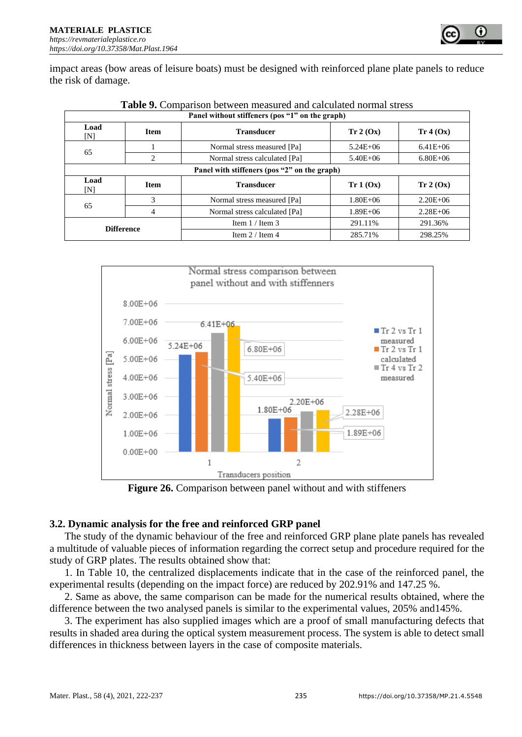

impact areas (bow areas of leisure boats) must be designed with reinforced plane plate panels to reduce the risk of damage.

|             | Panel without stiffeners (pos "1" on the graph) |                               |              |              |  |  |  |  |
|-------------|-------------------------------------------------|-------------------------------|--------------|--------------|--|--|--|--|
| Load<br>[N] | <b>Item</b>                                     | <b>Transducer</b>             | Tr 2 (Ox)    | Tr 4 (Ox)    |  |  |  |  |
|             |                                                 | Normal stress measured [Pa]   | $5.24E + 06$ | $6.41E + 06$ |  |  |  |  |
| 65          | 2                                               | Normal stress calculated [Pa] | $5.40E + 06$ | $6.80E + 06$ |  |  |  |  |
|             | Panel with stiffeners (pos "2" on the graph)    |                               |              |              |  |  |  |  |
| Load<br>[N] | <b>Item</b>                                     | <b>Transducer</b>             | Tr 1 (Ox)    | Tr 2 (Ox)    |  |  |  |  |
|             | 3                                               | Normal stress measured [Pa]   | $1.80E + 06$ | $2.20E + 06$ |  |  |  |  |
| 65          | 4                                               | Normal stress calculated [Pa] | $1.89E + 06$ | $2.28E + 06$ |  |  |  |  |
|             | <b>Difference</b>                               | Item $1 /$ Item 3             | 291.11%      | 291.36%      |  |  |  |  |
|             |                                                 | Item $2/$ Item 4              | 285.71%      | 298.25%      |  |  |  |  |





**Figure 26.** Comparison between panel without and with stiffeners

# **3.2. Dynamic analysis for the free and reinforced GRP panel**

The study of the dynamic behaviour of the free and reinforced GRP plane plate panels has revealed a multitude of valuable pieces of information regarding the correct setup and procedure required for the study of GRP plates. The results obtained show that:

1. In Table 10, the centralized displacements indicate that in the case of the reinforced panel, the experimental results (depending on the impact force) are reduced by 202.91% and 147.25 %.

2. Same as above, the same comparison can be made for the numerical results obtained, where the difference between the two analysed panels is similar to the experimental values, 205% and145%.

3. The experiment has also supplied images which are a proof of small manufacturing defects that results in shaded area during the optical system measurement process. The system is able to detect small differences in thickness between layers in the case of composite materials.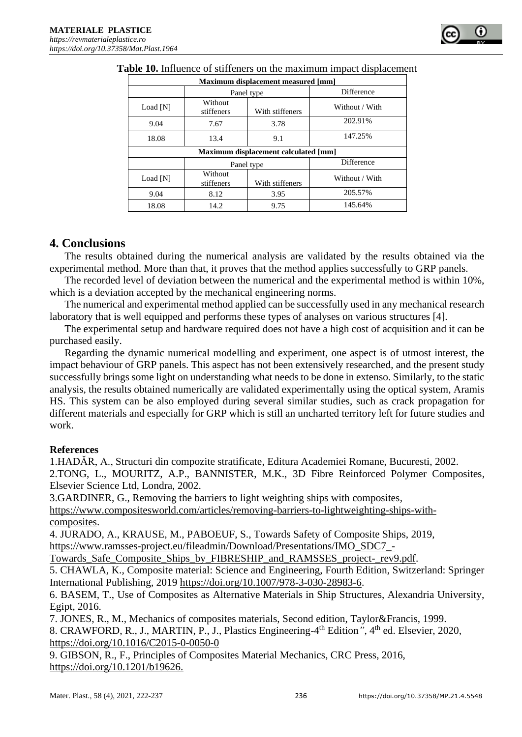| Maximum displacement measured [mm]   |                       |                 |                   |
|--------------------------------------|-----------------------|-----------------|-------------------|
|                                      | Panel type            |                 | <b>Difference</b> |
| Load [N]                             | Without<br>stiffeners | With stiffeners | Without / With    |
| 9.04                                 | 7.67                  | 3.78            | 202.91%           |
| 18.08                                | 13.4                  | 9.1             | 147.25%           |
| Maximum displacement calculated [mm] |                       |                 |                   |
|                                      | Panel type            |                 | Difference        |
| Load [N]                             | Without<br>stiffeners | With stiffeners | Without / With    |
| 9.04                                 | 8.12                  | 3.95            | 205.57%           |
| 18.08                                | 14.2                  | 9.75            | 145.64%           |

# **4. Conclusions**

The results obtained during the numerical analysis are validated by the results obtained via the experimental method. More than that, it proves that the method applies successfully to GRP panels.

The recorded level of deviation between the numerical and the experimental method is within 10%, which is a deviation accepted by the mechanical engineering norms.

The numerical and experimental method applied can be successfully used in any mechanical research laboratory that is well equipped and performs these types of analyses on various structures [4].

The experimental setup and hardware required does not have a high cost of acquisition and it can be purchased easily.

Regarding the dynamic numerical modelling and experiment, one aspect is of utmost interest, the impact behaviour of GRP panels. This aspect has not been extensively researched, and the present study successfully brings some light on understanding what needs to be done in extenso. Similarly, to the static analysis, the results obtained numerically are validated experimentally using the optical system, Aramis HS. This system can be also employed during several similar studies, such as crack propagation for different materials and especially for GRP which is still an uncharted territory left for future studies and work.

#### **References**

1.HADĂR, A., Structuri din compozite stratificate, Editura Academiei Romane, Bucuresti, 2002. 2.TONG, L., MOURITZ, A.P., BANNISTER, M.K., 3D Fibre Reinforced Polymer Composites, Elsevier Science Ltd, Londra, 2002.

3.GARDINER, G., Removing the barriers to light weighting ships with composites*,* 

[https://www.compositesworld.com/articles/removing-barriers-to-lightweighting-ships-with](https://www.compositesworld.com/articles/removing-barriers-to-lightweighting-ships-with-composites)[composites.](https://www.compositesworld.com/articles/removing-barriers-to-lightweighting-ships-with-composites)

4. JURADO, A., KRAUSE, M., PABOEUF, S., Towards Safety of Composite Ships, 2019, [https://www.ramsses-project.eu/fileadmin/Download/Presentations/IMO\\_SDC7\\_-](https://www.ramsses-project.eu/fileadmin/Download/Presentations/IMO_SDC7_-Towards_Safe_Composite_Ships_by_FIBRESHIP_and_RAMSSES_project-_rev9.pdf)

[Towards\\_Safe\\_Composite\\_Ships\\_by\\_FIBRESHIP\\_and\\_RAMSSES\\_project-\\_rev9.pdf.](https://www.ramsses-project.eu/fileadmin/Download/Presentations/IMO_SDC7_-Towards_Safe_Composite_Ships_by_FIBRESHIP_and_RAMSSES_project-_rev9.pdf)

5. CHAWLA, K., Composite material: Science and Engineering, Fourth Edition, Switzerland: Springer International Publishing, 2019 [https://doi.org/10.1007/978-3-030-28983-6.](https://doi.org/10.1007/978-3-030-28983-6)

6. BASEM, T., Use of Composites as Alternative Materials in Ship Structures, Alexandria University, Egipt, 2016.

7. JONES, R., M., Mechanics of composites materials, Second edition, Taylor&Francis, 1999.

8. CRAWFORD, R., J., MARTIN, P., J., Plastics Engineering-4<sup>th</sup> Edition<sup>*"*</sup>, 4<sup>th</sup> ed. Elsevier, 2020, https://doi.org/10.1016/C2015-0-0050-0

9. GIBSON, R., F., Principles of Composites Material Mechanics, CRC Press, 2016, [https://doi.org/10.1201/b19626.](https://doi.org/10.1201/b19626)